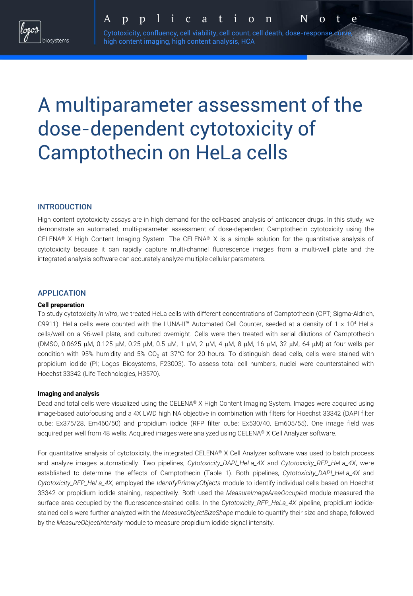Cytotoxicity, confluency, cell viability, cell count, cell death, dose-response curve high content imaging, high content analysis, HCA

A p p l i c a t i o n N o t e

# A multiparameter assessment of the dose-dependent cytotoxicity of Camptothecin on HeLa cells

## INTRODUCTION

High content cytotoxicity assays are in high demand for the cell-based analysis of anticancer drugs. In this study, we demonstrate an automated, multi-parameter assessment of dose-dependent Camptothecin cytotoxicity using the CELENA® X High Content Imaging System. The CELENA® X is a simple solution for the quantitative analysis of cytotoxicity because it can rapidly capture multi-channel fluorescence images from a multi-well plate and the integrated analysis software can accurately analyze multiple cellular parameters.

## APPLICATION

## **Cell preparation**

To study cytotoxicity *in vitro*, we treated HeLa cells with different concentrations of Camptothecin (CPT; Sigma-Aldrich, C9911). HeLa cells were counted with the LUNA-II™ Automated Cell Counter, seeded at a density of  $1 \times 10^4$  HeLa cells/well on a 96-well plate, and cultured overnight. Cells were then treated with serial dilutions of Camptothecin  $(DMSO, 0.0625 \mu M, 0.125 \mu M, 0.25 \mu M, 0.5 \mu M, 1 \mu M, 2 \mu M, 4 \mu M, 8 \mu M, 16 \mu M, 32 \mu M, 64 \mu M)$  at four wells per condition with 95% humidity and 5% CO<sub>2</sub> at 37°C for 20 hours. To distinguish dead cells, cells were stained with propidium iodide (PI; Logos Biosystems, F23003). To assess total cell numbers, nuclei were counterstained with Hoechst 33342 (Life Technologies, H3570).

### **Imaging and analysis**

Dead and total cells were visualized using the CELENA® X High Content Imaging System. Images were acquired using image-based autofocusing and a 4X LWD high NA objective in combination with filters for Hoechst 33342 (DAPI filter cube: Ex375/28, Em460/50) and propidium iodide (RFP filter cube: Ex530/40, Em605/55). One image field was acquired per well from 48 wells. Acquired images were analyzed using CELENA® X Cell Analyzer software.

For quantitative analysis of cytotoxicity, the integrated CELENA® X Cell Analyzer software was used to batch process and analyze images automatically. Two pipelines, *Cytotoxicity\_DAPI\_HeLa\_4X* and *Cytotoxicity\_RFP\_HeLa\_4X*, were established to determine the effects of Camptothecin (Table 1). Both pipelines, *Cytotoxicity\_DAPI\_HeLa\_4X* and *Cytotoxicity\_RFP\_HeLa\_4X*, employed the *IdentifyPrimaryObjects* module to identify individual cells based on Hoechst 33342 or propidium iodide staining, respectively. Both used the *MeasureImageAreaOccupied* module measured the surface area occupied by the fluorescence-stained cells. In the *Cytotoxicity\_RFP\_HeLa\_4X* pipeline, propidium iodidestained cells were further analyzed with the *MeasureObjectSizeShape* module to quantify their size and shape, followed by the *MeasureObjectIntensity* module to measure propidium iodide signal intensity.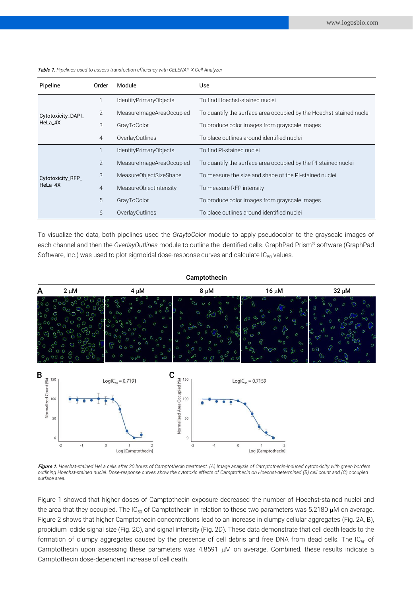| Pipeline                      | Order          | Module                   | Use                                                                 |
|-------------------------------|----------------|--------------------------|---------------------------------------------------------------------|
| Cytotoxicity_DAPI_<br>HeLa_4X |                | IdentifyPrimaryObjects   | To find Hoechst-stained nuclei                                      |
|                               | $\overline{2}$ | MeasureImageAreaOccupied | To quantify the surface area occupied by the Hoechst-stained nuclei |
|                               | 3              | GrayToColor              | To produce color images from grayscale images                       |
|                               | $\overline{4}$ | OverlayOutlines          | To place outlines around identified nuclei                          |
| Cytotoxicity_RFP_<br>HeLa 4X  |                | IdentifyPrimaryObjects   | To find PI-stained nuclei                                           |
|                               | $\overline{2}$ | MeasureImageAreaOccupied | To quantify the surface area occupied by the PI-stained nuclei      |
|                               | 3              | MeasureObjectSizeShape   | To measure the size and shape of the PI-stained nuclei              |
|                               | $\overline{4}$ | MeasureObjectIntensity   | To measure RFP intensity                                            |
|                               | 5              | GrayToColor              | To produce color images from grayscale images                       |
|                               | 6              | OverlayOutlines          | To place outlines around identified nuclei                          |

Table 1. *Pipelines used to assess transfection efficiency with CELENA® X Cell Analyzer*

To visualize the data, both pipelines used the *GraytoColor* module to apply pseudocolor to the grayscale images of each channel and then the *OverlayOutlines* module to outline the identified cells. GraphPad Prism® software (GraphPad Software, Inc.) was used to plot sigmoidal dose-response curves and calculate  $IC_{50}$  values.



#### Figure 1. *Hoechst-stained HeLa cells after 20 hours of Camptothecin treatment. (A) Image analysis of Camptothecin-induced cytotoxicity with green borders outlining Hoechst-stained nuclei. Dose-response curves show the cytotoxic effects of Camptothecin on Hoechst-determined (B) cell count and (C) occupied surface area.*

Figure 1 showed that higher doses of Camptothecin exposure decreased the number of Hoechst-stained nuclei and the area that they occupied. The IC<sub>50</sub> of Camptothecin in relation to these two parameters was 5.2180  $\mu$ M on average. Figure 2 shows that higher Camptothecin concentrations lead to an increase in clumpy cellular aggregates (Fig. 2A, B), propidium iodide signal size (Fig. 2C), and signal intensity (Fig. 2D). These data demonstrate that cell death leads to the formation of clumpy aggregates caused by the presence of cell debris and free DNA from dead cells. The IC $_{50}$  of Camptothecin upon assessing these parameters was  $4.8591 \mu M$  on average. Combined, these results indicate a Camptothecin dose-dependent increase of cell death.